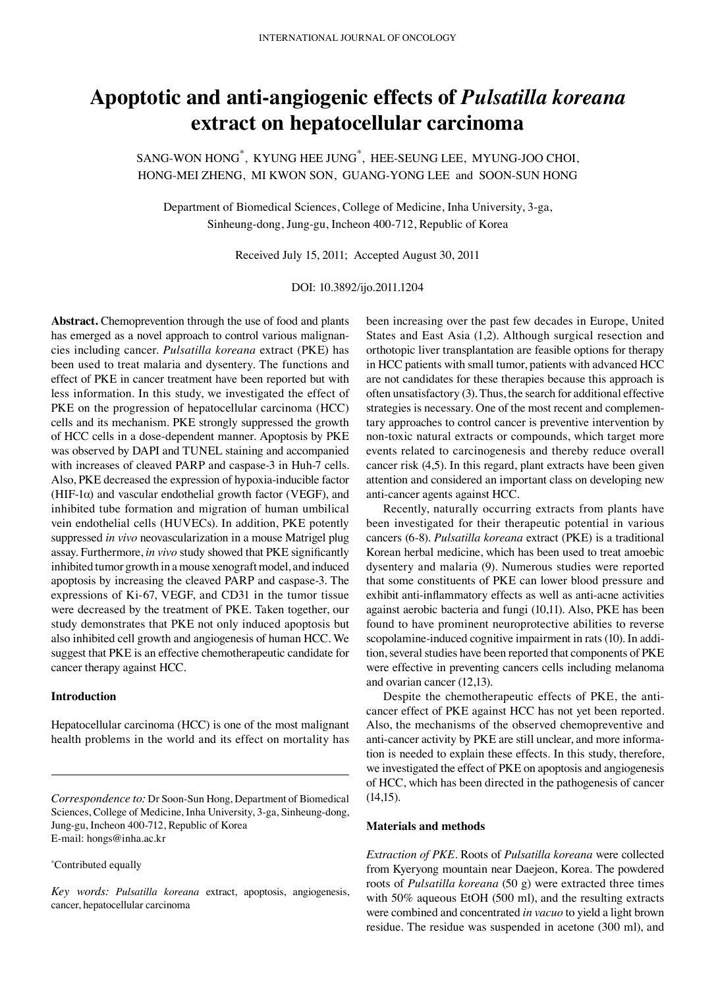# **Apoptotic and anti-angiogenic effects of** *Pulsatilla koreana* **extract on hepatocellular carcinoma**

SANG-WON HONG\* , KYUNG HEE JUNG\* , HEE-SEUNG LEE, MYUNG-JOO CHOI, HONG-MEI ZHENG, MI KWON SON, GUANG-YONG LEE and SOON-SUN HONG

Department of Biomedical Sciences, College of Medicine, Inha University, 3-ga, Sinheung-dong, Jung-gu, Incheon 400-712, Republic of Korea

Received July 15, 2011; Accepted August 30, 2011

DOI: 10.3892/ijo.2011.1204

**Abstract.** Chemoprevention through the use of food and plants has emerged as a novel approach to control various malignancies including cancer. *Pulsatilla koreana* extract (PKE) has been used to treat malaria and dysentery. The functions and effect of PKE in cancer treatment have been reported but with less information. In this study, we investigated the effect of PKE on the progression of hepatocellular carcinoma (HCC) cells and its mechanism. PKE strongly suppressed the growth of HCC cells in a dose-dependent manner. Apoptosis by PKE was observed by DAPI and TUNEL staining and accompanied with increases of cleaved PARP and caspase-3 in Huh-7 cells. Also, PKE decreased the expression of hypoxia-inducible factor (HIF-1 $\alpha$ ) and vascular endothelial growth factor (VEGF), and inhibited tube formation and migration of human umbilical vein endothelial cells (HUVECs). In addition, PKE potently suppressed *in vivo* neovascularization in a mouse Matrigel plug assay. Furthermore, *in vivo* study showed that PKE significantly inhibited tumor growth in a mouse xenograft model, and induced apoptosis by increasing the cleaved PARP and caspase-3. The expressions of Ki-67, VEGF, and CD31 in the tumor tissue were decreased by the treatment of PKE. Taken together, our study demonstrates that PKE not only induced apoptosis but also inhibited cell growth and angiogenesis of human HCC. We suggest that PKE is an effective chemotherapeutic candidate for cancer therapy against HCC.

## **Introduction**

Hepatocellular carcinoma (HCC) is one of the most malignant health problems in the world and its effect on mortality has

\* Contributed equally

been increasing over the past few decades in Europe, United States and East Asia (1,2). Although surgical resection and orthotopic liver transplantation are feasible options for therapy in HCC patients with small tumor, patients with advanced HCC are not candidates for these therapies because this approach is often unsatisfactory (3). Thus, the search for additional effective strategies is necessary. One of the most recent and complementary approaches to control cancer is preventive intervention by non-toxic natural extracts or compounds, which target more events related to carcinogenesis and thereby reduce overall cancer risk (4,5). In this regard, plant extracts have been given attention and considered an important class on developing new anti-cancer agents against HCC.

Recently, naturally occurring extracts from plants have been investigated for their therapeutic potential in various cancers (6-8). *Pulsatilla koreana* extract (PKE) is a traditional Korean herbal medicine, which has been used to treat amoebic dysentery and malaria (9). Numerous studies were reported that some constituents of PKE can lower blood pressure and exhibit anti-inflammatory effects as well as anti-acne activities against aerobic bacteria and fungi (10,11). Also, PKE has been found to have prominent neuroprotective abilities to reverse scopolamine-induced cognitive impairment in rats (10). In addition, several studies have been reported that components of PKE were effective in preventing cancers cells including melanoma and ovarian cancer (12,13).

Despite the chemotherapeutic effects of PKE, the anticancer effect of PKE against HCC has not yet been reported. Also, the mechanisms of the observed chemopreventive and anti-cancer activity by PKE are still unclear, and more information is needed to explain these effects. In this study, therefore, we investigated the effect of PKE on apoptosis and angiogenesis of HCC, which has been directed in the pathogenesis of cancer (14,15).

#### **Materials and methods**

*Extraction of PKE.* Roots of *Pulsatilla koreana* were collected from Kyeryong mountain near Daejeon, Korea. The powdered roots of *Pulsatilla koreana* (50 g) were extracted three times with 50% aqueous EtOH (500 ml), and the resulting extracts were combined and concentrated *in vacuo* to yield a light brown residue. The residue was suspended in acetone (300 ml), and

*Correspondence to:* Dr Soon-Sun Hong, Department of Biomedical Sciences, College of Medicine, Inha University, 3-ga, Sinheung-dong, Jung-gu, Incheon 400-712, Republic of Korea E-mail: hongs@inha.ac.kr

*Key words: Pulsatilla koreana* extract, apoptosis, angiogenesis, cancer, hepatocellular carcinoma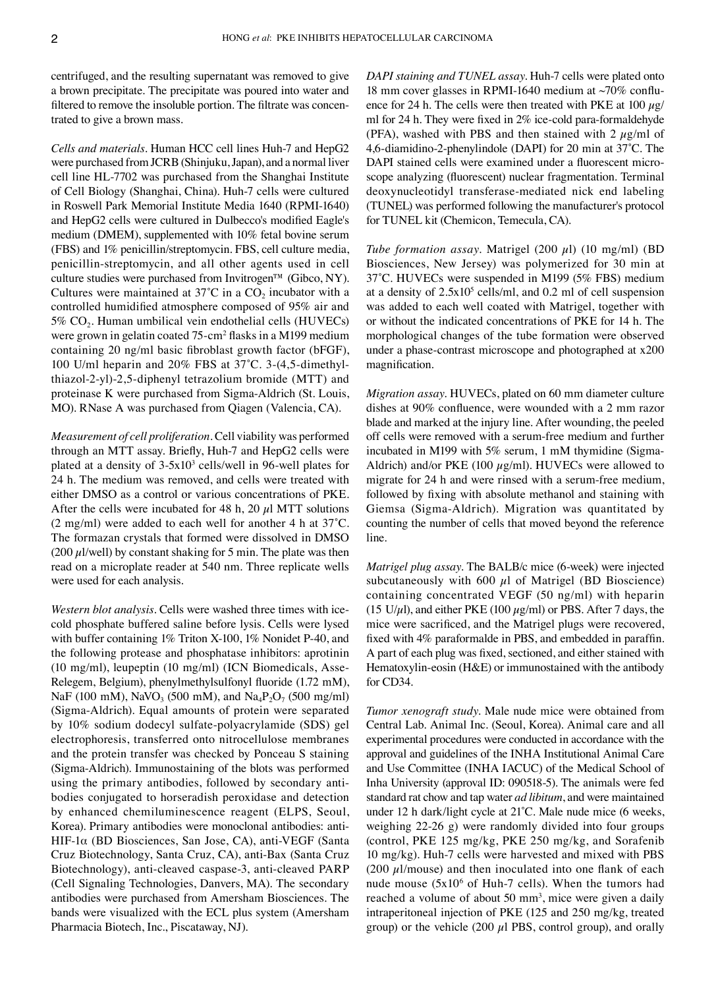centrifuged, and the resulting supernatant was removed to give a brown precipitate. The precipitate was poured into water and filtered to remove the insoluble portion. The filtrate was concentrated to give a brown mass.

*Cells and materials.* Human HCC cell lines Huh-7 and HepG2 were purchased from JCRB (Shinjuku, Japan), and a normal liver cell line HL-7702 was purchased from the Shanghai Institute of Cell Biology (Shanghai, China). Huh-7 cells were cultured in Roswell Park Memorial Institute Media 1640 (RPMI-1640) and HepG2 cells were cultured in Dulbecco's modified Eagle's medium (DMEM), supplemented with 10% fetal bovine serum (FBS) and 1% penicillin/streptomycin. FBS, cell culture media, penicillin-streptomycin, and all other agents used in cell culture studies were purchased from Invitrogen™ (Gibco, NY). Cultures were maintained at  $37^{\circ}$ C in a CO<sub>2</sub> incubator with a controlled humidified atmosphere composed of 95% air and 5% CO<sub>2</sub>. Human umbilical vein endothelial cells (HUVECs) were grown in gelatin coated 75-cm<sup>2</sup> flasks in a M199 medium containing 20 ng/ml basic fibroblast growth factor (bFGF), 100 U/ml heparin and 20% FBS at 37˚C. 3-(4,5-dimethylthiazol-2-yl)-2,5-diphenyl tetrazolium bromide (MTT) and proteinase K were purchased from Sigma-Aldrich (St. Louis, MO). RNase A was purchased from Qiagen (Valencia, CA).

*Measurement of cell proliferation.* Cell viability was performed through an MTT assay. Briefly, Huh-7 and HepG2 cells were plated at a density of  $3-5x10^3$  cells/well in 96-well plates for 24 h. The medium was removed, and cells were treated with either DMSO as a control or various concentrations of PKE. After the cells were incubated for 48 h, 20  $\mu$ l MTT solutions (2 mg/ml) were added to each well for another 4 h at 37˚C. The formazan crystals that formed were dissolved in DMSO  $(200 \mu$ l/well) by constant shaking for 5 min. The plate was then read on a microplate reader at 540 nm. Three replicate wells were used for each analysis.

*Western blot analysis.* Cells were washed three times with icecold phosphate buffered saline before lysis. Cells were lysed with buffer containing 1% Triton X-100, 1% Nonidet P-40, and the following protease and phosphatase inhibitors: aprotinin (10 mg/ml), leupeptin (10 mg/ml) (ICN Biomedicals, Asse-Relegem, Belgium), phenylmethylsulfonyl fluoride (1.72 mM), NaF (100 mM), NaVO<sub>3</sub> (500 mM), and Na<sub>4</sub>P<sub>2</sub>O<sub>7</sub> (500 mg/ml) (Sigma-Aldrich). Equal amounts of protein were separated by 10% sodium dodecyl sulfate-polyacrylamide (SDS) gel electrophoresis, transferred onto nitrocellulose membranes and the protein transfer was checked by Ponceau S staining (Sigma-Aldrich). Immunostaining of the blots was performed using the primary antibodies, followed by secondary antibodies conjugated to horseradish peroxidase and detection by enhanced chemiluminescence reagent (ELPS, Seoul, Korea). Primary antibodies were monoclonal antibodies: anti-HIF-1α (BD Biosciences, San Jose, CA), anti-VEGF (Santa Cruz Biotechnology, Santa Cruz, CA), anti-Bax (Santa Cruz Biotechnology), anti-cleaved caspase-3, anti-cleaved PARP (Cell Signaling Technologies, Danvers, MA). The secondary antibodies were purchased from Amersham Biosciences. The bands were visualized with the ECL plus system (Amersham Pharmacia Biotech, Inc., Piscataway, NJ).

*DAPI staining and TUNEL assay.* Huh-7 cells were plated onto 18 mm cover glasses in RPMI-1640 medium at ~70% confluence for 24 h. The cells were then treated with PKE at  $100 \mu g$ / ml for 24 h. They were fixed in 2% ice-cold para-formaldehyde (PFA), washed with PBS and then stained with 2  $\mu$ g/ml of 4,6-diamidino-2-phenylindole (DAPI) for 20 min at 37˚C. The DAPI stained cells were examined under a fluorescent microscope analyzing (fluorescent) nuclear fragmentation. Terminal deoxynucleotidyl transferase-mediated nick end labeling (TUNEL) was performed following the manufacturer's protocol for TUNEL kit (Chemicon, Temecula, CA).

*Tube formation assay.* Matrigel (200 µl) (10 mg/ml) (BD Biosciences, New Jersey) was polymerized for 30 min at 37˚C. HUVECs were suspended in M199 (5% FBS) medium at a density of  $2.5x10<sup>5</sup>$  cells/ml, and 0.2 ml of cell suspension was added to each well coated with Matrigel, together with or without the indicated concentrations of PKE for 14 h. The morphological changes of the tube formation were observed under a phase-contrast microscope and photographed at x200 magnification.

*Migration assay.* HUVECs, plated on 60 mm diameter culture dishes at 90% confluence, were wounded with a 2 mm razor blade and marked at the injury line. After wounding, the peeled off cells were removed with a serum-free medium and further incubated in M199 with 5% serum, 1 mM thymidine (Sigma-Aldrich) and/or PKE (100  $\mu$ g/ml). HUVECs were allowed to migrate for 24 h and were rinsed with a serum-free medium, followed by fixing with absolute methanol and staining with Giemsa (Sigma-Aldrich). Migration was quantitated by counting the number of cells that moved beyond the reference line.

*Matrigel plug assay.* The BALB/c mice (6-week) were injected subcutaneously with 600  $\mu$ l of Matrigel (BD Bioscience) containing concentrated VEGF (50 ng/ml) with heparin (15 U/ $\mu$ l), and either PKE (100  $\mu$ g/ml) or PBS. After 7 days, the mice were sacrificed, and the Matrigel plugs were recovered, fixed with 4% paraformalde in PBS, and embedded in paraffin. A part of each plug was fixed, sectioned, and either stained with Hematoxylin-eosin (H&E) or immunostained with the antibody for CD34.

*Tumor xenograft study.* Male nude mice were obtained from Central Lab. Animal Inc. (Seoul, Korea). Animal care and all experimental procedures were conducted in accordance with the approval and guidelines of the INHA Institutional Animal Care and Use Committee (INHA IACUC) of the Medical School of Inha University (approval ID: 090518-5). The animals were fed standard rat chow and tap water *ad libitum*, and were maintained under 12 h dark/light cycle at 21˚C. Male nude mice (6 weeks, weighing 22-26 g) were randomly divided into four groups (control, PKE 125 mg/kg, PKE 250 mg/kg, and Sorafenib 10 mg/kg). Huh-7 cells were harvested and mixed with PBS (200  $\mu$ 1/mouse) and then inoculated into one flank of each nude mouse  $(5x10<sup>6</sup>$  of Huh-7 cells). When the tumors had reached a volume of about 50 mm<sup>3</sup>, mice were given a daily intraperitoneal injection of PKE (125 and 250 mg/kg, treated group) or the vehicle  $(200 \mu l$  PBS, control group), and orally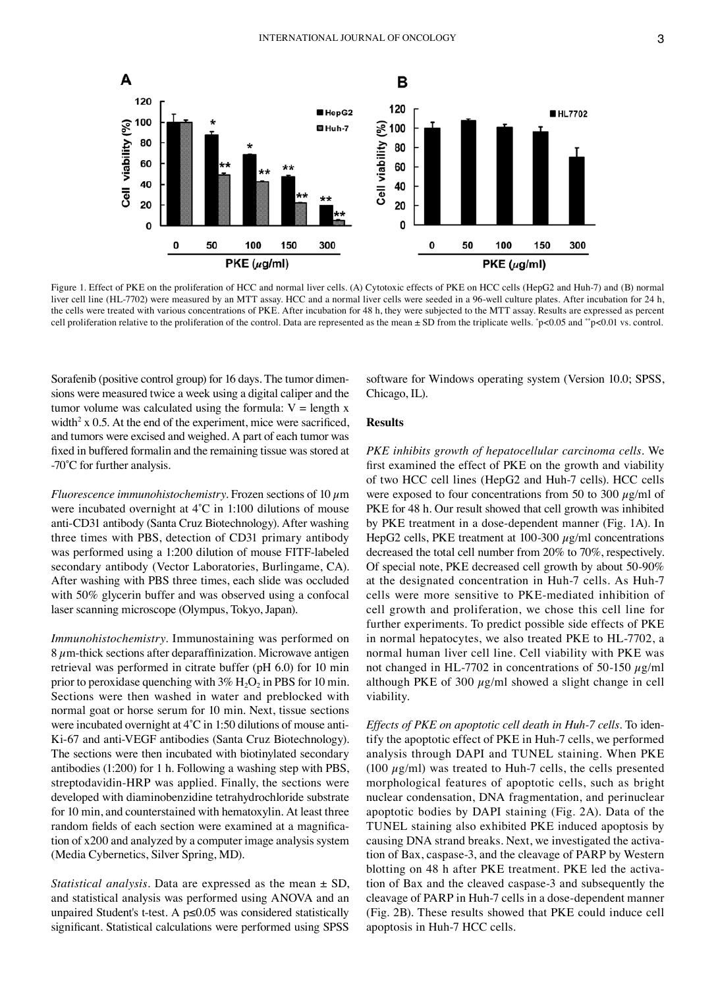

Figure 1. Effect of PKE on the proliferation of HCC and normal liver cells. (A) Cytotoxic effects of PKE on HCC cells (HepG2 and Huh-7) and (B) normal liver cell line (HL-7702) were measured by an MTT assay. HCC and a normal liver cells were seeded in a 96-well culture plates. After incubation for 24 h, the cells were treated with various concentrations of PKE. After incubation for 48 h, they were subjected to the MTT assay. Results are expressed as percent cell proliferation relative to the proliferation of the control. Data are represented as the mean ± SD from the triplicate wells. \* p<0.05 and \*\*p<0.01 vs. control.

Sorafenib (positive control group) for 16 days. The tumor dimensions were measured twice a week using a digital caliper and the tumor volume was calculated using the formula:  $V =$  length x width<sup>2</sup> x 0.5. At the end of the experiment, mice were sacrificed, and tumors were excised and weighed. A part of each tumor was fixed in buffered formalin and the remaining tissue was stored at -70˚C for further analysis.

*Fluorescence immunohistochemistry*. Frozen sections of 10  $\mu$ m were incubated overnight at 4˚C in 1:100 dilutions of mouse anti-CD31 antibody (Santa Cruz Biotechnology). After washing three times with PBS, detection of CD31 primary antibody was performed using a 1:200 dilution of mouse FITF-labeled secondary antibody (Vector Laboratories, Burlingame, CA). After washing with PBS three times, each slide was occluded with 50% glycerin buffer and was observed using a confocal laser scanning microscope (Olympus, Tokyo, Japan).

*Immunohistochemistry.* Immunostaining was performed on  $8 \mu$ m-thick sections after deparaffinization. Microwave antigen retrieval was performed in citrate buffer (pH 6.0) for 10 min prior to peroxidase quenching with  $3\%$  H<sub>2</sub>O<sub>2</sub> in PBS for 10 min. Sections were then washed in water and preblocked with normal goat or horse serum for 10 min. Next, tissue sections were incubated overnight at 4˚C in 1:50 dilutions of mouse anti-Ki-67 and anti-VEGF antibodies (Santa Cruz Biotechnology). The sections were then incubated with biotinylated secondary antibodies (1:200) for 1 h. Following a washing step with PBS, streptodavidin-HRP was applied. Finally, the sections were developed with diaminobenzidine tetrahydrochloride substrate for 10 min, and counterstained with hematoxylin. At least three random fields of each section were examined at a magnification of x200 and analyzed by a computer image analysis system (Media Cybernetics, Silver Spring, MD).

*Statistical analysis.* Data are expressed as the mean ± SD, and statistical analysis was performed using ANOVA and an unpaired Student's t-test. A p≤0.05 was considered statistically significant. Statistical calculations were performed using SPSS software for Windows operating system (Version 10.0; SPSS, Chicago, IL).

## **Results**

*PKE inhibits growth of hepatocellular carcinoma cells.* We first examined the effect of PKE on the growth and viability of two HCC cell lines (HepG2 and Huh-7 cells). HCC cells were exposed to four concentrations from 50 to 300  $\mu$ g/ml of PKE for 48 h. Our result showed that cell growth was inhibited by PKE treatment in a dose-dependent manner (Fig. 1A). In HepG2 cells, PKE treatment at  $100-300 \mu g/ml$  concentrations decreased the total cell number from 20% to 70%, respectively. Of special note, PKE decreased cell growth by about 50-90% at the designated concentration in Huh-7 cells. As Huh-7 cells were more sensitive to PKE-mediated inhibition of cell growth and proliferation, we chose this cell line for further experiments. To predict possible side effects of PKE in normal hepatocytes, we also treated PKE to HL-7702, a normal human liver cell line. Cell viability with PKE was not changed in HL-7702 in concentrations of 50-150  $\mu$ g/ml although PKE of 300  $\mu$ g/ml showed a slight change in cell viability.

*Effects of PKE on apoptotic cell death in Huh-7 cells.* To identify the apoptotic effect of PKE in Huh-7 cells, we performed analysis through DAPI and TUNEL staining. When PKE (100  $\mu$ g/ml) was treated to Huh-7 cells, the cells presented morphological features of apoptotic cells, such as bright nuclear condensation, DNA fragmentation, and perinuclear apoptotic bodies by DAPI staining (Fig. 2A). Data of the TUNEL staining also exhibited PKE induced apoptosis by causing DNA strand breaks. Next, we investigated the activation of Bax, caspase-3, and the cleavage of PARP by Western blotting on 48 h after PKE treatment. PKE led the activation of Bax and the cleaved caspase-3 and subsequently the cleavage of PARP in Huh-7 cells in a dose-dependent manner (Fig. 2B). These results showed that PKE could induce cell apoptosis in Huh-7 HCC cells.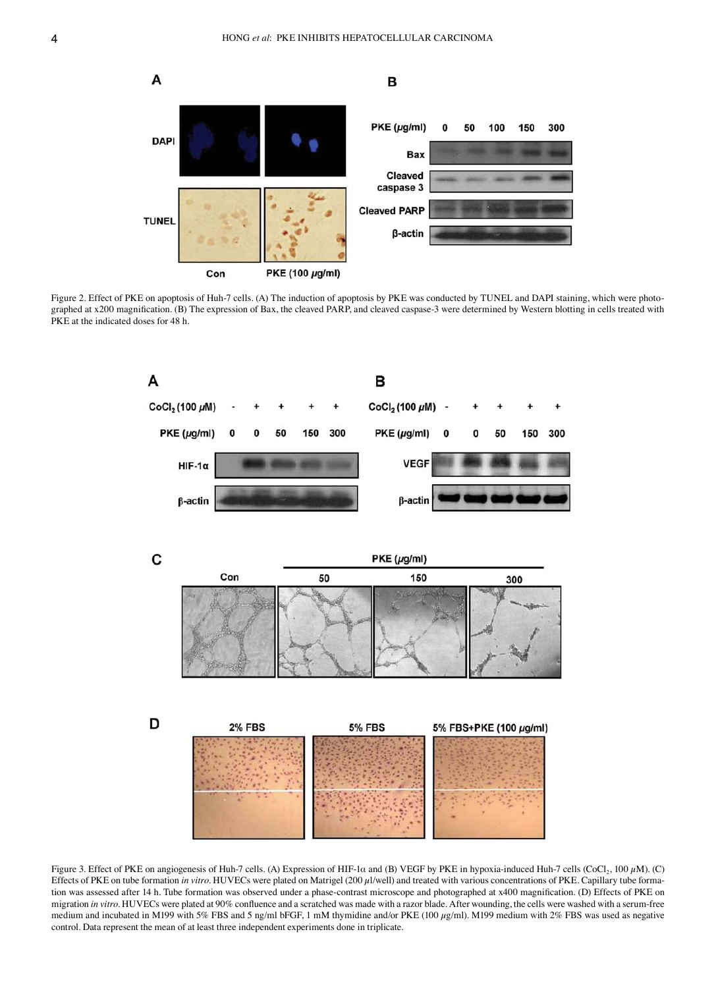

Figure 2. Effect of PKE on apoptosis of Huh-7 cells. (A) The induction of apoptosis by PKE was conducted by TUNEL and DAPI staining, which were photographed at x200 magnification. (B) The expression of Bax, the cleaved PARP, and cleaved caspase-3 were determined by Western blotting in cells treated with PKE at the indicated doses for 48 h.



Figure 3. Effect of PKE on angiogenesis of Huh-7 cells. (A) Expression of HIF-1 $\alpha$  and (B) VEGF by PKE in hypoxia-induced Huh-7 cells (CoCl<sub>2</sub>, 100  $\mu$ M). (C) Effects of PKE on tube formation *in vitro*. HUVECs were plated on Matrigel (200 µl/well) and treated with various concentrations of PKE. Capillary tube formation was assessed after 14 h. Tube formation was observed under a phase-contrast microscope and photographed at x400 magnification. (D) Effects of PKE on migration *in vitro*. HUVECs were plated at 90% confluence and a scratched was made with a razor blade. After wounding, the cells were washed with a serum-free medium and incubated in M199 with 5% FBS and 5 ng/ml bFGF, 1 mM thymidine and/or PKE (100  $\mu$ g/ml). M199 medium with 2% FBS was used as negative control. Data represent the mean of at least three independent experiments done in triplicate.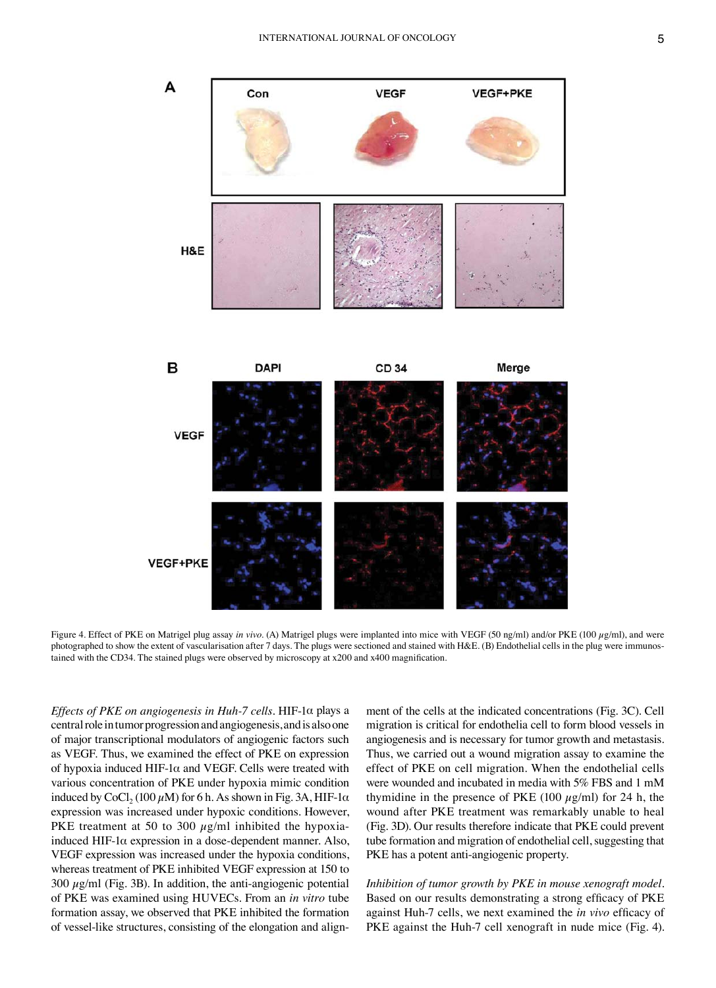

Figure 4. Effect of PKE on Matrigel plug assay in vivo. (A) Matrigel plugs were implanted into mice with VEGF (50 ng/ml) and/or PKE (100 µg/ml), and were photographed to show the extent of vascularisation after 7 days. The plugs were sectioned and stained with H&E. (B) Endothelial cells in the plug were immunostained with the CD34. The stained plugs were observed by microscopy at x200 and x400 magnification.

*Effects of PKE on angiogenesis in Huh-7 cells.* HIF-1α plays a central role in tumor progression and angiogenesis, and is also one of major transcriptional modulators of angiogenic factors such as VEGF. Thus, we examined the effect of PKE on expression of hypoxia induced HIF-1 $\alpha$  and VEGF. Cells were treated with various concentration of PKE under hypoxia mimic condition induced by CoCl<sub>2</sub> (100  $\mu$ M) for 6 h. As shown in Fig. 3A, HIF-1 $\alpha$ expression was increased under hypoxic conditions. However, PKE treatment at 50 to 300  $\mu$ g/ml inhibited the hypoxiainduced HIF-1α expression in a dose-dependent manner. Also, VEGF expression was increased under the hypoxia conditions, whereas treatment of PKE inhibited VEGF expression at 150 to  $300 \mu g/ml$  (Fig. 3B). In addition, the anti-angiogenic potential of PKE was examined using HUVECs. From an *in vitro* tube formation assay, we observed that PKE inhibited the formation of vessel-like structures, consisting of the elongation and align-

ment of the cells at the indicated concentrations (Fig. 3C). Cell migration is critical for endothelia cell to form blood vessels in angiogenesis and is necessary for tumor growth and metastasis. Thus, we carried out a wound migration assay to examine the effect of PKE on cell migration. When the endothelial cells were wounded and incubated in media with 5% FBS and 1 mM thymidine in the presence of PKE (100  $\mu$ g/ml) for 24 h, the wound after PKE treatment was remarkably unable to heal (Fig. 3D). Our results therefore indicate that PKE could prevent tube formation and migration of endothelial cell, suggesting that PKE has a potent anti-angiogenic property.

*Inhibition of tumor growth by PKE in mouse xenograft model.*  Based on our results demonstrating a strong efficacy of PKE against Huh-7 cells, we next examined the *in vivo* efficacy of PKE against the Huh-7 cell xenograft in nude mice (Fig. 4).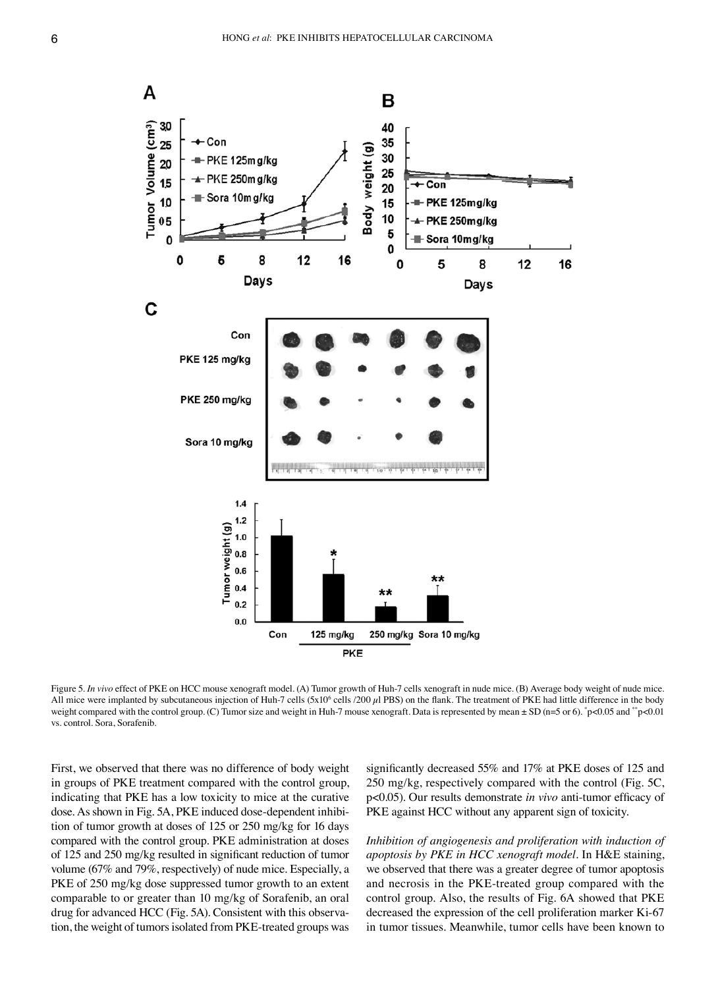

Figure 5. *In vivo* effect of PKE on HCC mouse xenograft model. (A) Tumor growth of Huh-7 cells xenograft in nude mice. (B) Average body weight of nude mice. All mice were implanted by subcutaneous injection of Huh-7 cells  $(5x10<sup>6</sup>$  cells  $/200 \mu$ l PBS) on the flank. The treatment of PKE had little difference in the body weight compared with the control group. (C) Tumor size and weight in Huh-7 mouse xenograft. Data is represented by mean  $\pm$  SD (n=5 or 6).  $\degree$ p<0.05 and  $\degree$ <sup>\*</sup>p<0.01 vs. control. Sora, Sorafenib.

First, we observed that there was no difference of body weight in groups of PKE treatment compared with the control group, indicating that PKE has a low toxicity to mice at the curative dose. As shown in Fig. 5A, PKE induced dose-dependent inhibition of tumor growth at doses of 125 or 250 mg/kg for 16 days compared with the control group. PKE administration at doses of 125 and 250 mg/kg resulted in significant reduction of tumor volume (67% and 79%, respectively) of nude mice. Especially, a PKE of 250 mg/kg dose suppressed tumor growth to an extent comparable to or greater than 10 mg/kg of Sorafenib, an oral drug for advanced HCC (Fig. 5A). Consistent with this observation, the weight of tumors isolated from PKE-treated groups was

significantly decreased 55% and 17% at PKE doses of 125 and 250 mg/kg, respectively compared with the control (Fig. 5C, p<0.05). Our results demonstrate *in vivo* anti-tumor efficacy of PKE against HCC without any apparent sign of toxicity.

*Inhibition of angiogenesis and proliferation with induction of apoptosis by PKE in HCC xenograft model.* In H&E staining, we observed that there was a greater degree of tumor apoptosis and necrosis in the PKE-treated group compared with the control group. Also, the results of Fig. 6A showed that PKE decreased the expression of the cell proliferation marker Ki-67 in tumor tissues. Meanwhile, tumor cells have been known to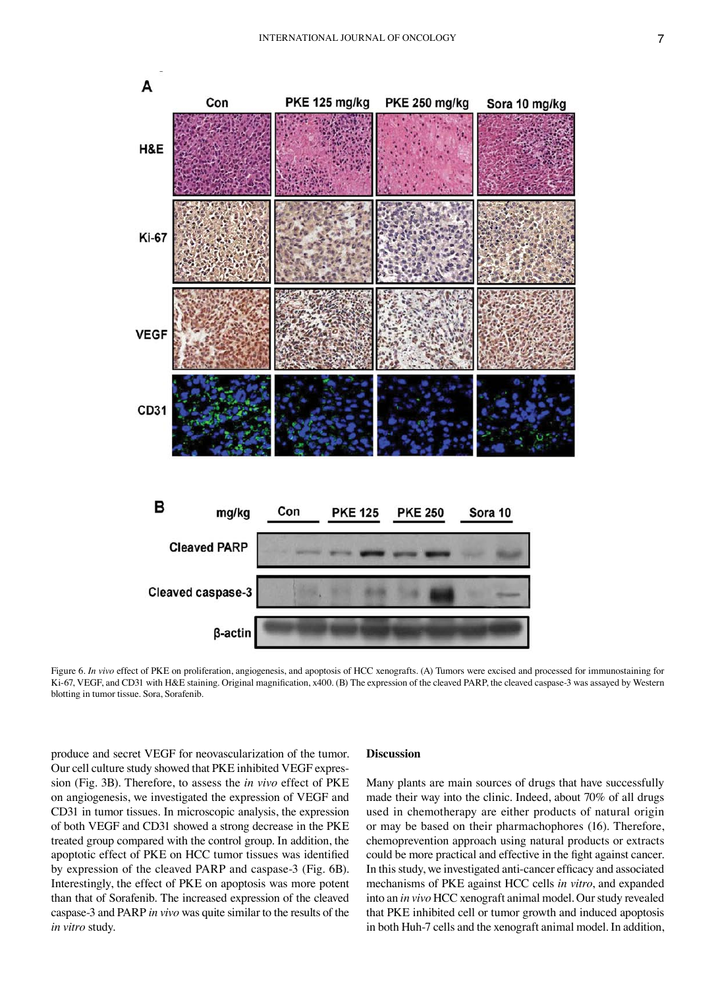

Figure 6. *In vivo* effect of PKE on proliferation, angiogenesis, and apoptosis of HCC xenografts. (A) Tumors were excised and processed for immunostaining for Ki-67, VEGF, and CD31 with H&E staining. Original magnification, x400. (B) The expression of the cleaved PARP, the cleaved caspase-3 was assayed by Western blotting in tumor tissue. Sora, Sorafenib.

produce and secret VEGF for neovascularization of the tumor. Our cell culture study showed that PKE inhibited VEGF expression (Fig. 3B). Therefore, to assess the *in vivo* effect of PKE on angiogenesis, we investigated the expression of VEGF and CD31 in tumor tissues. In microscopic analysis, the expression of both VEGF and CD31 showed a strong decrease in the PKE treated group compared with the control group. In addition, the apoptotic effect of PKE on HCC tumor tissues was identified by expression of the cleaved PARP and caspase-3 (Fig. 6B). Interestingly, the effect of PKE on apoptosis was more potent than that of Sorafenib. The increased expression of the cleaved caspase-3 and PARP *in vivo* was quite similar to the results of the *in vitro* study.

### **Discussion**

Many plants are main sources of drugs that have successfully made their way into the clinic. Indeed, about 70% of all drugs used in chemotherapy are either products of natural origin or may be based on their pharmachophores (16). Therefore, chemoprevention approach using natural products or extracts could be more practical and effective in the fight against cancer. In this study, we investigated anti-cancer efficacy and associated mechanisms of PKE against HCC cells *in vitro*, and expanded into an *in vivo* HCC xenograft animal model. Our study revealed that PKE inhibited cell or tumor growth and induced apoptosis in both Huh-7 cells and the xenograft animal model. In addition,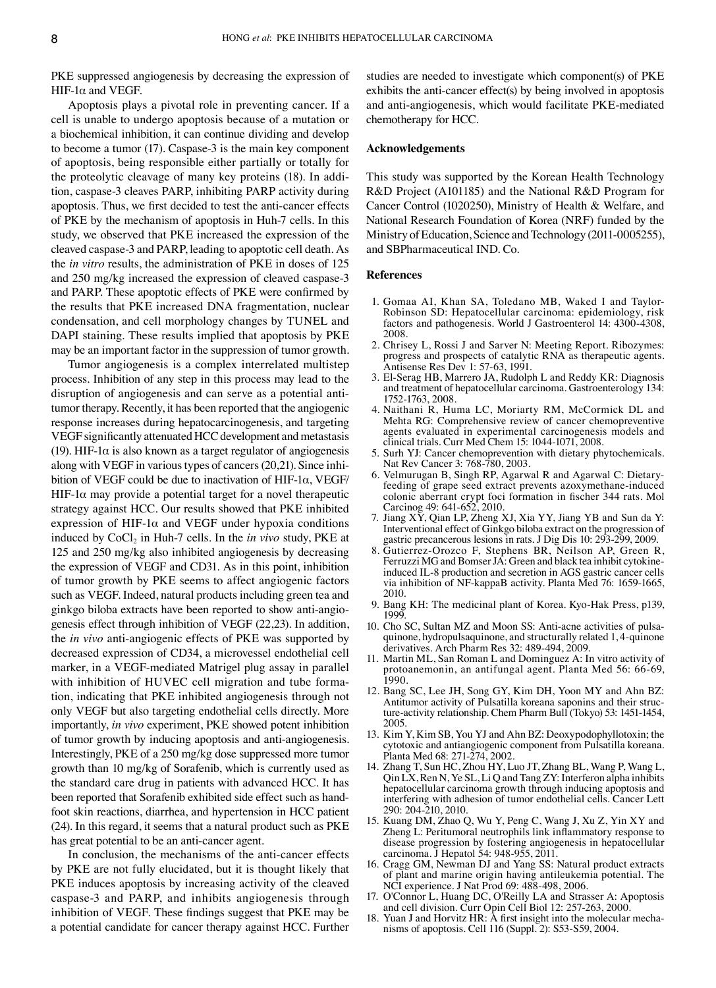PKE suppressed angiogenesis by decreasing the expression of HIF-1α and VEGF.

Apoptosis plays a pivotal role in preventing cancer. If a cell is unable to undergo apoptosis because of a mutation or a biochemical inhibition, it can continue dividing and develop to become a tumor (17). Caspase-3 is the main key component of apoptosis, being responsible either partially or totally for the proteolytic cleavage of many key proteins (18). In addition, caspase-3 cleaves PARP, inhibiting PARP activity during apoptosis. Thus, we first decided to test the anti-cancer effects of PKE by the mechanism of apoptosis in Huh-7 cells. In this study, we observed that PKE increased the expression of the cleaved caspase-3 and PARP, leading to apoptotic cell death. As the *in vitro* results, the administration of PKE in doses of 125 and 250 mg/kg increased the expression of cleaved caspase-3 and PARP. These apoptotic effects of PKE were confirmed by the results that PKE increased DNA fragmentation, nuclear condensation, and cell morphology changes by TUNEL and DAPI staining. These results implied that apoptosis by PKE may be an important factor in the suppression of tumor growth.

Tumor angiogenesis is a complex interrelated multistep process. Inhibition of any step in this process may lead to the disruption of angiogenesis and can serve as a potential antitumor therapy. Recently, it has been reported that the angiogenic response increases during hepatocarcinogenesis, and targeting VEGF significantly attenuated HCC development and metastasis (19). HIF-1 $\alpha$  is also known as a target regulator of angiogenesis along with VEGF in various types of cancers (20,21). Since inhibition of VEGF could be due to inactivation of HIF-1 $\alpha$ , VEGF/ HIF-1 $\alpha$  may provide a potential target for a novel therapeutic strategy against HCC. Our results showed that PKE inhibited expression of HIF-1 $\alpha$  and VEGF under hypoxia conditions induced by CoCl<sub>2</sub> in Huh-7 cells. In the *in vivo* study, PKE at 125 and 250 mg/kg also inhibited angiogenesis by decreasing the expression of VEGF and CD31. As in this point, inhibition of tumor growth by PKE seems to affect angiogenic factors such as VEGF. Indeed, natural products including green tea and ginkgo biloba extracts have been reported to show anti-angiogenesis effect through inhibition of VEGF (22,23). In addition, the *in vivo* anti-angiogenic effects of PKE was supported by decreased expression of CD34, a microvessel endothelial cell marker, in a VEGF-mediated Matrigel plug assay in parallel with inhibition of HUVEC cell migration and tube formation, indicating that PKE inhibited angiogenesis through not only VEGF but also targeting endothelial cells directly. More importantly, *in vivo* experiment, PKE showed potent inhibition of tumor growth by inducing apoptosis and anti-angiogenesis. Interestingly, PKE of a 250 mg/kg dose suppressed more tumor growth than 10 mg/kg of Sorafenib, which is currently used as the standard care drug in patients with advanced HCC. It has been reported that Sorafenib exhibited side effect such as handfoot skin reactions, diarrhea, and hypertension in HCC patient (24). In this regard, it seems that a natural product such as PKE has great potential to be an anti-cancer agent.

In conclusion, the mechanisms of the anti-cancer effects by PKE are not fully elucidated, but it is thought likely that PKE induces apoptosis by increasing activity of the cleaved caspase-3 and PARP, and inhibits angiogenesis through inhibition of VEGF. These findings suggest that PKE may be a potential candidate for cancer therapy against HCC. Further studies are needed to investigate which component(s) of PKE exhibits the anti-cancer effect(s) by being involved in apoptosis and anti-angiogenesis, which would facilitate PKE-mediated chemotherapy for HCC.

#### **Acknowledgements**

This study was supported by the Korean Health Technology R&D Project (A101185) and the National R&D Program for Cancer Control (1020250), Ministry of Health & Welfare, and National Research Foundation of Korea (NRF) funded by the Ministry of Education, Science and Technology (2011-0005255), and SBPharmaceutical IND. Co.

#### **References**

- 1. Gomaa AI, Khan SA, Toledano MB, Waked I and Taylor-Robinson SD: Hepatocellular carcinoma: epidemiology, risk factors and pathogenesis. World J Gastroenterol 14: 4300-4308, 2008.
- 2. Chrisey L, Rossi J and Sarver N: Meeting Report. Ribozymes: progress and prospects of catalytic RNA as therapeutic agents. Antisense Res Dev 1: 57-63, 1991.
- 3. El-Serag HB, Marrero JA, Rudolph L and Reddy KR: Diagnosis and treatment of hepatocellular carcinoma. Gastroenterology 134: 1752-1763, 2008.
- 4. Naithani R, Huma LC, Moriarty RM, McCormick DL and Mehta RG: Comprehensive review of cancer chemopreventive agents evaluated in experimental carcinogenesis models and clinical trials. Curr Med Chem 15: 1044-1071, 2008.
- 5. Surh YJ: Cancer chemoprevention with dietary phytochemicals. Nat Rev Cancer 3: 768-780, 2003.
- 6. Velmurugan B, Singh RP, Agarwal R and Agarwal C: Dietaryfeeding of grape seed extract prevents azoxymethane-induced colonic aberrant crypt foci formation in fischer 344 rats. Mol Carcinog 49: 641-652, 2010.
- 7. Jiang XY, Qian LP, Zheng XJ, Xia YY, Jiang YB and Sun da Y: Interventional effect of Ginkgo biloba extract on the progression of gastric precancerous lesions in rats. J Dig Dis 10: 293-299, 2009.
- 8. Gutierrez-Orozco F, Stephens BR, Neilson AP, Green R, Ferruzzi MG and Bomser JA: Green and black tea inhibit cytokineinduced IL-8 production and secretion in AGS gastric cancer cells via inhibition of NF-kappaB activity. Planta Med 76: 1659-1665, 2010.
- 9. Bang KH: The medicinal plant of Korea. Kyo-Hak Press, p139, 1999.
- 10. Cho SC, Sultan MZ and Moon SS: Anti-acne activities of pulsaquinone, hydropulsaquinone, and structurally related 1, 4-quinone derivatives. Arch Pharm Res 32: 489-494, 2009.
- 11. Martin ML, San Roman L and Dominguez A: In vitro activity of protoanemonin, an antifungal agent. Planta Med 56: 66-69, 1990.
- 12. Bang SC, Lee JH, Song GY, Kim DH, Yoon MY and Ahn BZ: Antitumor activity of Pulsatilla koreana saponins and their structure-activity relationship. Chem Pharm Bull (Tokyo) 53: 1451-1454, 2005.
- 13. Kim Y, Kim SB, You YJ and Ahn BZ: Deoxypodophyllotoxin; the cytotoxic and antiangiogenic component from Pulsatilla koreana. Planta Med 68: 271-274, 2002.
- 14. Zhang T, Sun HC, Zhou HY, Luo JT, Zhang BL, Wang P, Wang L, Qin LX, Ren N, Ye SL, Li Q and Tang ZY: Interferon alpha inhibits hepatocellular carcinoma growth through inducing apoptosis and interfering with adhesion of tumor endothelial cells. Cancer Lett 290: 204-210, 2010.
- 15. Kuang DM, Zhao Q, Wu Y, Peng C, Wang J, Xu Z, Yin XY and Zheng L: Peritumoral neutrophils link inflammatory response to disease progression by fostering angiogenesis in hepatocellular carcinoma. J Hepatol 54: 948-955, 2011.
- 16. Cragg GM, Newman DJ and Yang SS: Natural product extracts of plant and marine origin having antileukemia potential. The NCI experience. J Nat Prod 69: 488-498, 2006.
- 17. O'Connor L, Huang DC, O'Reilly LA and Strasser A: Apoptosis and cell division. Curr Opin Cell Biol 12: 257-263, 2000.
- 18. Yuan J and Horvitz HR: A first insight into the molecular mecha- nisms of apoptosis. Cell 116 (Suppl. 2): S53-S59, 2004.